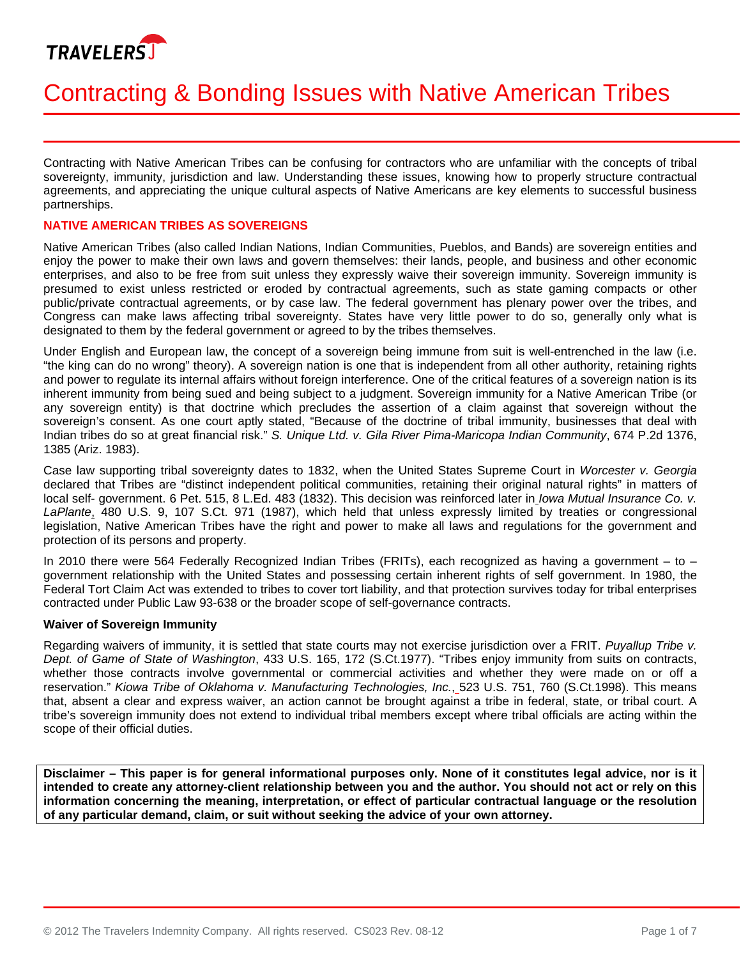

# Contracting & Bonding Issues with Native American Tribes

Contracting with Native American Tribes can be confusing for contractors who are unfamiliar with the concepts of tribal sovereignty, immunity, jurisdiction and law. Understanding these issues, knowing how to properly structure contractual agreements, and appreciating the unique cultural aspects of Native Americans are key elements to successful business partnerships.

## **NATIVE AMERICAN TRIBES AS SOVEREIGNS**

Native American Tribes (also called Indian Nations, Indian Communities, Pueblos, and Bands) are sovereign entities and enjoy the power to make their own laws and govern themselves: their lands, people, and business and other economic enterprises, and also to be free from suit unless they expressly waive their sovereign immunity. Sovereign immunity is presumed to exist unless restricted or eroded by contractual agreements, such as state gaming compacts or other public/private contractual agreements, or by case law. The federal government has plenary power over the tribes, and Congress can make laws affecting tribal sovereignty. States have very little power to do so, generally only what is designated to them by the federal government or agreed to by the tribes themselves.

Under English and European law, the concept of a sovereign being immune from suit is well-entrenched in the law (i.e. "the king can do no wrong" theory). A sovereign nation is one that is independent from all other authority, retaining rights and power to regulate its internal affairs without foreign interference. One of the critical features of a sovereign nation is its inherent immunity from being sued and being subject to a judgment. Sovereign immunity for a Native American Tribe (or any sovereign entity) is that doctrine which precludes the assertion of a claim against that sovereign without the sovereign's consent. As one court aptly stated, "Because of the doctrine of tribal immunity, businesses that deal with Indian tribes do so at great financial risk." *S. Unique Ltd. v. Gila River Pima-Maricopa Indian Community*, 674 P.2d 1376, 1385 (Ariz. 1983).

Case law supporting tribal sovereignty dates to 1832, when the United States Supreme Court in *Worcester v. Georgia* declared that Tribes are "distinct independent political communities, retaining their original natural rights" in matters of local self- government. 6 Pet. 515, 8 L.Ed. 483 (1832). This decision was reinforced later in *Iowa Mutual Insurance Co. v. LaPlante*, 480 U.S. 9, 107 S.Ct. 971 (1987), which held that unless expressly limited by treaties or congressional legislation, Native American Tribes have the right and power to make all laws and regulations for the government and protection of its persons and property.

In 2010 there were 564 Federally Recognized Indian Tribes (FRITs), each recognized as having a government – to – government relationship with the United States and possessing certain inherent rights of self government. In 1980, the Federal Tort Claim Act was extended to tribes to cover tort liability, and that protection survives today for tribal enterprises contracted under Public Law 93-638 or the broader scope of self-governance contracts.

#### **Waiver of Sovereign Immunity**

Regarding waivers of immunity, it is settled that state courts may not exercise jurisdiction over a FRIT. *Puyallup Tribe v. Dept. of Game of State of Washington*, 433 U.S. 165, 172 (S.Ct.1977). "Tribes enjoy immunity from suits on contracts, whether those contracts involve governmental or commercial activities and whether they were made on or off a reservation." *Kiowa Tribe of Oklahoma v. Manufacturing Technologies, Inc.*, 523 U.S. 751, 760 (S.Ct.1998). This means that, absent a clear and express waiver, an action cannot be brought against a tribe in federal, state, or tribal court. A tribe's sovereign immunity does not extend to individual tribal members except where tribal officials are acting within the scope of their official duties.

**Disclaimer – This paper is for general informational purposes only. None of it constitutes legal advice, nor is it intended to create any attorney-client relationship between you and the author. You should not act or rely on this information concerning the meaning, interpretation, or effect of particular contractual language or the resolution of any particular demand, claim, or suit without seeking the advice of your own attorney.**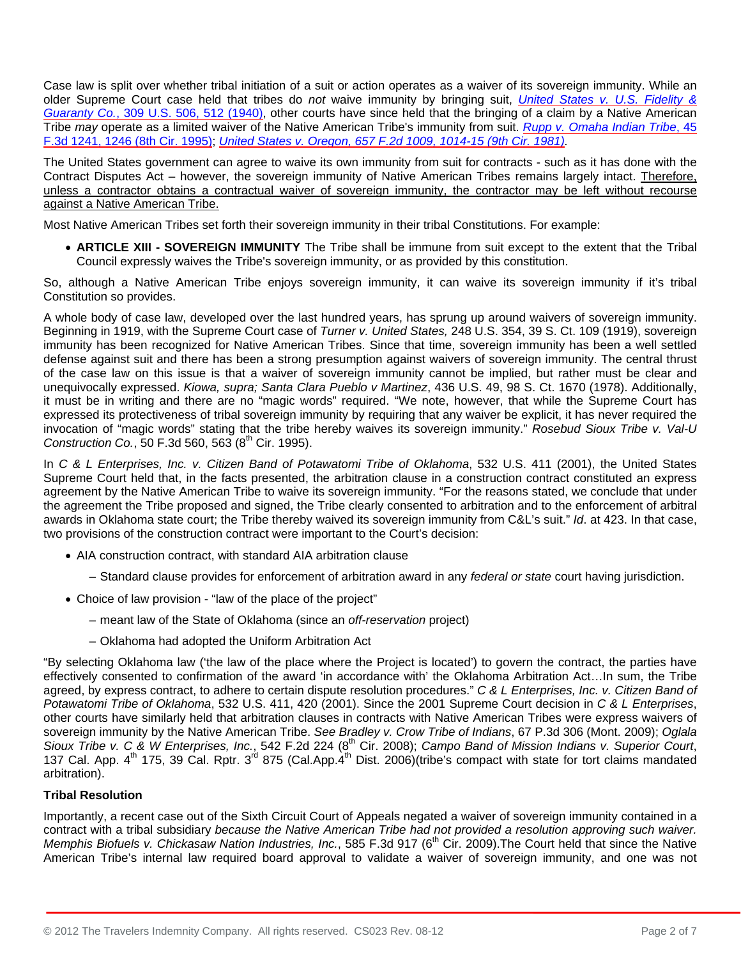Case law is split over whether tribal initiation of a suit or action operates as a waiver of its sovereign immunity. While an older Supreme Court case held that tribes do *not* waive immunity by bringing suit, *[United States v. U.S. Fidelity &](http://www.westlaw.com/Find/Default.wl?rs=dfa1.0&vr=2.0&DB=780&FindType=Y&ReferencePositionType=S&SerialNum=1940124559&ReferencePosition=512)  Guaranty Co.*[, 309 U.S. 506, 512 \(1940\)](http://www.westlaw.com/Find/Default.wl?rs=dfa1.0&vr=2.0&DB=780&FindType=Y&ReferencePositionType=S&SerialNum=1940124559&ReferencePosition=512), other courts have since held that the bringing of a claim by a Native American Tribe *may* operate as a limited waiver of the Native American Tribe's immunity from suit. *[Rupp v. Omaha Indian](http://www.westlaw.com/Find/Default.wl?rs=dfa1.0&vr=2.0&DB=506&FindType=Y&ReferencePositionType=S&SerialNum=1995035928&ReferencePosition=1246) Tribe*, 45 [F.3d 1241, 1246 \(8th Cir. 1995\);](http://www.westlaw.com/Find/Default.wl?rs=dfa1.0&vr=2.0&DB=506&FindType=Y&ReferencePositionType=S&SerialNum=1995035928&ReferencePosition=1246) *[United States v. Oregon, 657 F.2d 1009, 1014-15 \(9th Cir. 1981\).](http://www.westlaw.com/Find/Default.wl?rs=dfa1.0&vr=2.0&DB=350&FindType=Y&ReferencePositionType=S&SerialNum=1981138553&ReferencePosition=1014)* 

The United States government can agree to waive its own immunity from suit for contracts - such as it has done with the Contract Disputes Act – however, the sovereign immunity of Native American Tribes remains largely intact. Therefore, unless a contractor obtains a contractual waiver of sovereign immunity, the contractor may be left without recourse against a Native American Tribe.

Most Native American Tribes set forth their sovereign immunity in their tribal Constitutions. For example:

 **ARTICLE XIII - SOVEREIGN IMMUNITY** The Tribe shall be immune from suit except to the extent that the Tribal Council expressly waives the Tribe's sovereign immunity, or as provided by this constitution.

So, although a Native American Tribe enjoys sovereign immunity, it can waive its sovereign immunity if it's tribal Constitution so provides.

A whole body of case law, developed over the last hundred years, has sprung up around waivers of sovereign immunity. Beginning in 1919, with the Supreme Court case of *Turner v. United States,* 248 U.S. 354, 39 S. Ct. 109 (1919), sovereign immunity has been recognized for Native American Tribes. Since that time, sovereign immunity has been a well settled defense against suit and there has been a strong presumption against waivers of sovereign immunity. The central thrust of the case law on this issue is that a waiver of sovereign immunity cannot be implied, but rather must be clear and unequivocally expressed. *Kiowa, supra; Santa Clara Pueblo v Martinez*, 436 U.S. 49, 98 S. Ct. 1670 (1978). Additionally, it must be in writing and there are no "magic words" required. "We note, however, that while the Supreme Court has expressed its protectiveness of tribal sovereign immunity by requiring that any waiver be explicit, it has never required the invocation of "magic words" stating that the tribe hereby waives its sovereign immunity." *Rosebud Sioux Tribe v. Val-U Construction Co.*, 50 F.3d 560, 563 (8<sup>th</sup> Cir. 1995).

In *C & L Enterprises, Inc. v. Citizen Band of Potawatomi Tribe of Oklahoma*, 532 U.S. 411 (2001), the United States Supreme Court held that, in the facts presented, the arbitration clause in a construction contract constituted an express agreement by the Native American Tribe to waive its sovereign immunity. "For the reasons stated, we conclude that under the agreement the Tribe proposed and signed, the Tribe clearly consented to arbitration and to the enforcement of arbitral awards in Oklahoma state court; the Tribe thereby waived its sovereign immunity from C&L's suit." *Id*. at 423. In that case, two provisions of the construction contract were important to the Court's decision:

- AIA construction contract, with standard AIA arbitration clause
	- Standard clause provides for enforcement of arbitration award in any *federal or state* court having jurisdiction.
- Choice of law provision "law of the place of the project"
	- meant law of the State of Oklahoma (since an *off-reservation* project)
	- Oklahoma had adopted the Uniform Arbitration Act

"By selecting Oklahoma law ('the law of the place where the Project is located') to govern the contract, the parties have effectively consented to confirmation of the award 'in accordance with' the Oklahoma Arbitration Act…In sum, the Tribe agreed, by express contract, to adhere to certain dispute resolution procedures." *C & L Enterprises, Inc. v. Citizen Band of Potawatomi Tribe of Oklahoma*, 532 U.S. 411, 420 (2001). Since the 2001 Supreme Court decision in *C & L Enterprises*, other courts have similarly held that arbitration clauses in contracts with Native American Tribes were express waivers of sovereign immunity by the Native American Tribe. *See Bradley v. Crow Tribe of Indians*, 67 P.3d 306 (Mont. 2009); *Oglala*  Sioux Tribe v. C & W Enterprises, Inc., 542 F.2d 224 (8<sup>th</sup> Cir. 2008); Campo Band of Mission Indians v. Superior Court, 137 Cal. App.  $4^{\text{th}}$  175, 39 Cal. Rptr. 3<sup>rd</sup> 875 (Cal.App. $4^{\text{th}}$  Dist. 2006)(tribe's compact with state for tort claims mandated arbitration).

# **Tribal Resolution**

Importantly, a recent case out of the Sixth Circuit Court of Appeals negated a waiver of sovereign immunity contained in a contract with a tribal subsidiary *because the Native American Tribe had not provided a resolution approving such waiver. Memphis Biofuels v. Chickasaw Nation Industries, Inc.*, 585 F.3d 917 (6<sup>th</sup> Cir. 2009). The Court held that since the Native American Tribe's internal law required board approval to validate a waiver of sovereign immunity, and one was not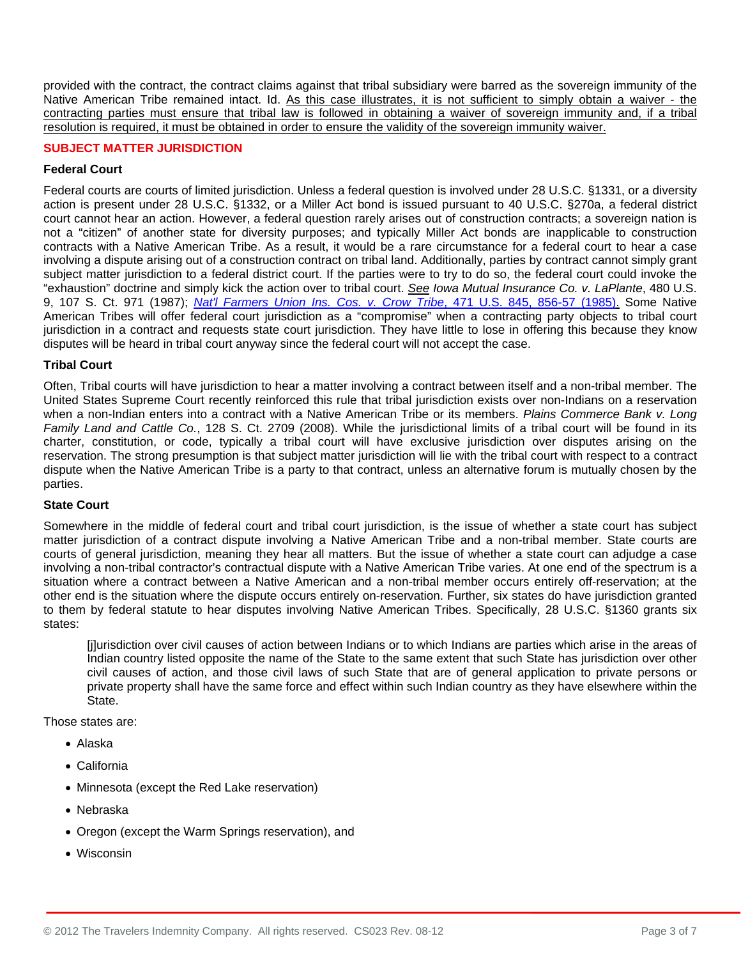provided with the contract, the contract claims against that tribal subsidiary were barred as the sovereign immunity of the Native American Tribe remained intact. Id. As this case illustrates, it is not sufficient to simply obtain a waiver - the contracting parties must ensure that tribal law is followed in obtaining a waiver of sovereign immunity and, if a tribal resolution is required, it must be obtained in order to ensure the validity of the sovereign immunity waiver.

## **SUBJECT MATTER JURISDICTION**

## **Federal Court**

Federal courts are courts of limited jurisdiction. Unless a federal question is involved under 28 U.S.C. §1331, or a diversity action is present under 28 U.S.C. §1332, or a Miller Act bond is issued pursuant to 40 U.S.C. §270a, a federal district court cannot hear an action. However, a federal question rarely arises out of construction contracts; a sovereign nation is not a "citizen" of another state for diversity purposes; and typically Miller Act bonds are inapplicable to construction contracts with a Native American Tribe. As a result, it would be a rare circumstance for a federal court to hear a case involving a dispute arising out of a construction contract on tribal land. Additionally, parties by contract cannot simply grant subject matter jurisdiction to a federal district court. If the parties were to try to do so, the federal court could invoke the "exhaustion" doctrine and simply kick the action over to tribal court. *See Iowa Mutual Insurance Co. v. LaPlante*, 480 U.S. 9, 107 S. Ct. 971 (1987); *[Nat'l Farmers Union Ins. Cos. v. Crow Tribe](http://www.westlaw.com/Find/Default.wl?rs=dfa1.0&vr=2.0&DB=780&FindType=Y&ReferencePositionType=S&SerialNum=1985127861&ReferencePosition=856)*, 471 U.S. 845, 856-57 (1985). Some Native American Tribes will offer federal court jurisdiction as a "compromise" when a contracting party objects to tribal court jurisdiction in a contract and requests state court jurisdiction. They have little to lose in offering this because they know disputes will be heard in tribal court anyway since the federal court will not accept the case.

## **Tribal Court**

Often, Tribal courts will have jurisdiction to hear a matter involving a contract between itself and a non-tribal member. The United States Supreme Court recently reinforced this rule that tribal jurisdiction exists over non-Indians on a reservation when a non-Indian enters into a contract with a Native American Tribe or its members. *Plains Commerce Bank v. Long Family Land and Cattle Co.*, 128 S. Ct. 2709 (2008). While the jurisdictional limits of a tribal court will be found in its charter, constitution, or code, typically a tribal court will have exclusive jurisdiction over disputes arising on the reservation. The strong presumption is that subject matter jurisdiction will lie with the tribal court with respect to a contract dispute when the Native American Tribe is a party to that contract, unless an alternative forum is mutually chosen by the parties.

## **State Court**

Somewhere in the middle of federal court and tribal court jurisdiction, is the issue of whether a state court has subject matter jurisdiction of a contract dispute involving a Native American Tribe and a non-tribal member. State courts are courts of general jurisdiction, meaning they hear all matters. But the issue of whether a state court can adjudge a case involving a non-tribal contractor's contractual dispute with a Native American Tribe varies. At one end of the spectrum is a situation where a contract between a Native American and a non-tribal member occurs entirely off-reservation; at the other end is the situation where the dispute occurs entirely on-reservation. Further, six states do have jurisdiction granted to them by federal statute to hear disputes involving Native American Tribes. Specifically, 28 U.S.C. §1360 grants six states:

[j]urisdiction over civil causes of action between Indians or to which Indians are parties which arise in the areas of Indian country listed opposite the name of the State to the same extent that such State has jurisdiction over other civil causes of action, and those civil laws of such State that are of general application to private persons or private property shall have the same force and effect within such Indian country as they have elsewhere within the State.

Those states are:

- Alaska
- California
- Minnesota (except the Red Lake reservation)
- Nebraska
- Oregon (except the Warm Springs reservation), and
- Wisconsin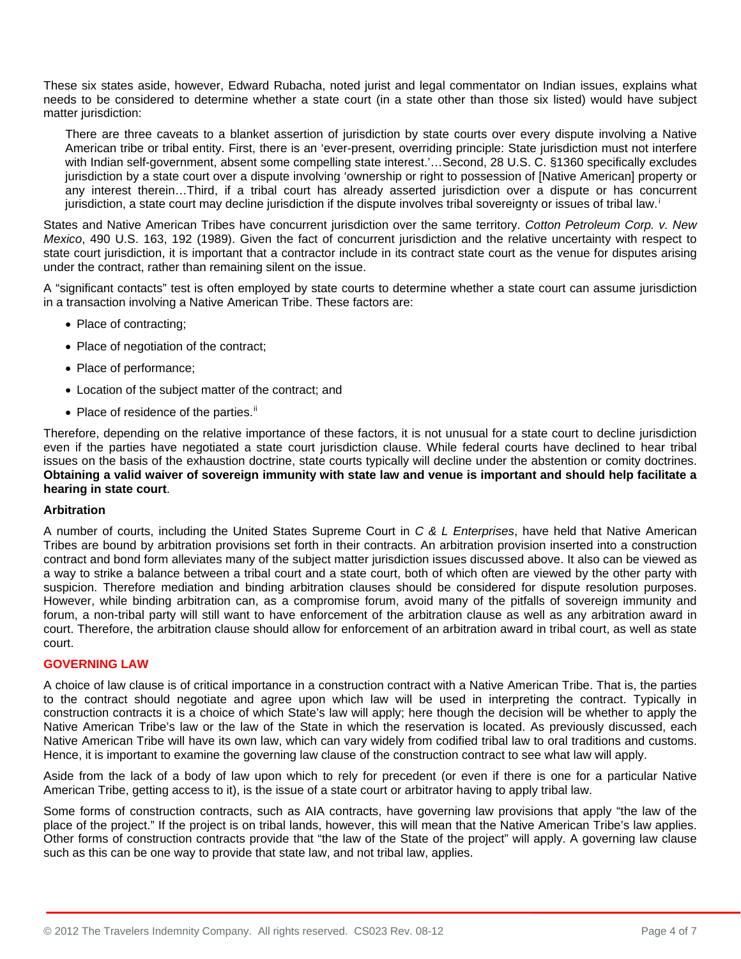These six states aside, however, Edward Rubacha, noted jurist and legal commentator on Indian issues, explains what needs to be considered to determine whether a state court (in a state other than those six listed) would have subject matter jurisdiction:

There are three caveats to a blanket assertion of jurisdiction by state courts over every dispute involving a Native American tribe or tribal entity. First, there is an 'ever-present, overriding principle: State jurisdiction must not interfere with Indian self-government, absent some compelling state interest.'…Second, 28 U.S. C. §1360 specifically excludes jurisdiction by a state court over a dispute involving 'ownership or right to possession of [Native American] property or any interest therein…Third, if a tribal court has already asserted jurisdiction over a dispute or has concurrent jur[i](#page-6-0)sdiction, a state court may decline jurisdiction if the dispute involves tribal sovereignty or issues of tribal law.<sup>i</sup>

States and Native American Tribes have concurrent jurisdiction over the same territory. *Cotton Petroleum Corp. v. New Mexico*, 490 U.S. 163, 192 (1989). Given the fact of concurrent jurisdiction and the relative uncertainty with respect to state court jurisdiction, it is important that a contractor include in its contract state court as the venue for disputes arising under the contract, rather than remaining silent on the issue.

A "significant contacts" test is often employed by state courts to determine whether a state court can assume jurisdiction in a transaction involving a Native American Tribe. These factors are:

- Place of contracting;
- Place of negotiation of the contract;
- Place of performance;
- Location of the subject matter of the contract; and
- $\bullet$  Place of residence of the parties.<sup>[ii](#page-6-1)</sup>

Therefore, depending on the relative importance of these factors, it is not unusual for a state court to decline jurisdiction even if the parties have negotiated a state court jurisdiction clause. While federal courts have declined to hear tribal issues on the basis of the exhaustion doctrine, state courts typically will decline under the abstention or comity doctrines. **Obtaining a valid waiver of sovereign immunity with state law and venue is important and should help facilitate a hearing in state court**.

## **Arbitration**

A number of courts, including the United States Supreme Court in *C & L Enterprises*, have held that Native American Tribes are bound by arbitration provisions set forth in their contracts. An arbitration provision inserted into a construction contract and bond form alleviates many of the subject matter jurisdiction issues discussed above. It also can be viewed as a way to strike a balance between a tribal court and a state court, both of which often are viewed by the other party with suspicion. Therefore mediation and binding arbitration clauses should be considered for dispute resolution purposes. However, while binding arbitration can, as a compromise forum, avoid many of the pitfalls of sovereign immunity and forum, a non-tribal party will still want to have enforcement of the arbitration clause as well as any arbitration award in court. Therefore, the arbitration clause should allow for enforcement of an arbitration award in tribal court, as well as state court.

## **GOVERNING LAW**

A choice of law clause is of critical importance in a construction contract with a Native American Tribe. That is, the parties to the contract should negotiate and agree upon which law will be used in interpreting the contract. Typically in construction contracts it is a choice of which State's law will apply; here though the decision will be whether to apply the Native American Tribe's law or the law of the State in which the reservation is located. As previously discussed, each Native American Tribe will have its own law, which can vary widely from codified tribal law to oral traditions and customs. Hence, it is important to examine the governing law clause of the construction contract to see what law will apply.

Aside from the lack of a body of law upon which to rely for precedent (or even if there is one for a particular Native American Tribe, getting access to it), is the issue of a state court or arbitrator having to apply tribal law.

Some forms of construction contracts, such as AIA contracts, have governing law provisions that apply "the law of the place of the project." If the project is on tribal lands, however, this will mean that the Native American Tribe's law applies. Other forms of construction contracts provide that "the law of the State of the project" will apply. A governing law clause such as this can be one way to provide that state law, and not tribal law, applies.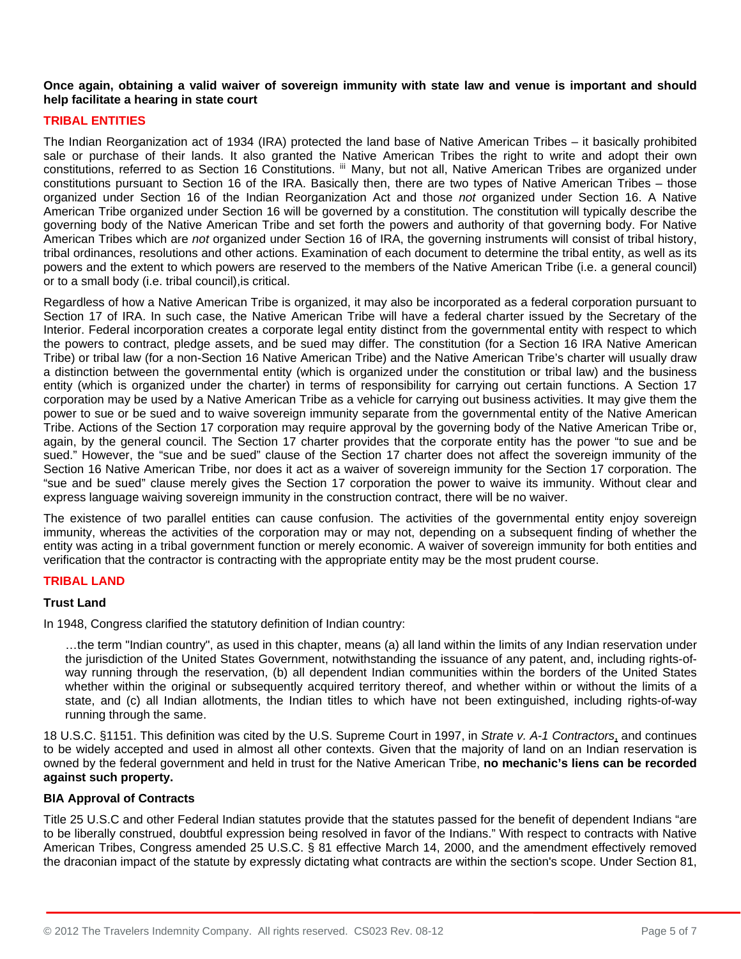## **Once again, obtaining a valid waiver of sovereign immunity with state law and venue is important and should help facilitate a hearing in state court**

# **TRIBAL ENTITIES**

The Indian Reorganization act of 1934 (IRA) protected the land base of Native American Tribes – it basically prohibited sale or purchase of their lands. It also granted the Native American Tribes the right to write and adopt their own constitutions, referred to as Section 16 Constitutions. III Many, but not all, Native American Tribes are organized under constitutions pursuant to Section 16 of the IRA. Basically then, there are two types of Native American Tribes – those organized under Section 16 of the Indian Reorganization Act and those *not* organized under Section 16. A Native American Tribe organized under Section 16 will be governed by a constitution. The constitution will typically describe the governing body of the Native American Tribe and set forth the powers and authority of that governing body. For Native American Tribes which are *not* organized under Section 16 of IRA, the governing instruments will consist of tribal history, tribal ordinances, resolutions and other actions. Examination of each document to determine the tribal entity, as well as its powers and the extent to which powers are reserved to the members of the Native American Tribe (i.e. a general council) or to a small body (i.e. tribal council),is critical.

Regardless of how a Native American Tribe is organized, it may also be incorporated as a federal corporation pursuant to Section 17 of IRA. In such case, the Native American Tribe will have a federal charter issued by the Secretary of the Interior. Federal incorporation creates a corporate legal entity distinct from the governmental entity with respect to which the powers to contract, pledge assets, and be sued may differ. The constitution (for a Section 16 IRA Native American Tribe) or tribal law (for a non-Section 16 Native American Tribe) and the Native American Tribe's charter will usually draw a distinction between the governmental entity (which is organized under the constitution or tribal law) and the business entity (which is organized under the charter) in terms of responsibility for carrying out certain functions. A Section 17 corporation may be used by a Native American Tribe as a vehicle for carrying out business activities. It may give them the power to sue or be sued and to waive sovereign immunity separate from the governmental entity of the Native American Tribe. Actions of the Section 17 corporation may require approval by the governing body of the Native American Tribe or, again, by the general council. The Section 17 charter provides that the corporate entity has the power "to sue and be sued." However, the "sue and be sued" clause of the Section 17 charter does not affect the sovereign immunity of the Section 16 Native American Tribe, nor does it act as a waiver of sovereign immunity for the Section 17 corporation. The "sue and be sued" clause merely gives the Section 17 corporation the power to waive its immunity. Without clear and express language waiving sovereign immunity in the construction contract, there will be no waiver.

The existence of two parallel entities can cause confusion. The activities of the governmental entity enjoy sovereign immunity, whereas the activities of the corporation may or may not, depending on a subsequent finding of whether the entity was acting in a tribal government function or merely economic. A waiver of sovereign immunity for both entities and verification that the contractor is contracting with the appropriate entity may be the most prudent course.

## **TRIBAL LAND**

## **Trust Land**

In 1948, Congress clarified the statutory definition of Indian country:

…the term "Indian country", as used in this chapter, means (a) all land within the limits of any Indian reservation under the jurisdiction of the United States Government, notwithstanding the issuance of any patent, and, including rights-ofway running through the reservation, (b) all dependent Indian communities within the borders of the United States whether within the original or subsequently acquired territory thereof, and whether within or without the limits of a state, and (c) all Indian allotments, the Indian titles to which have not been extinguished, including rights-of-way running through the same.

18 U.S.C. §1151. This definition was cited by the U.S. Supreme Court in 1997, in *Strate v. A-1 Contractors*, and continues to be widely accepted and used in almost all other contexts. Given that the majority of land on an Indian reservation is owned by the federal government and held in trust for the Native American Tribe, **no mechanic's liens can be recorded against such property.** 

## **BIA Approval of Contracts**

Title 25 U.S.C and other Federal Indian statutes provide that the statutes passed for the benefit of dependent Indians "are to be liberally construed, doubtful expression being resolved in favor of the Indians." With respect to contracts with Native American Tribes, Congress amended 25 U.S.C. § 81 effective March 14, 2000, and the amendment effectively removed the draconian impact of the statute by expressly dictating what contracts are within the section's scope. Under Section 81,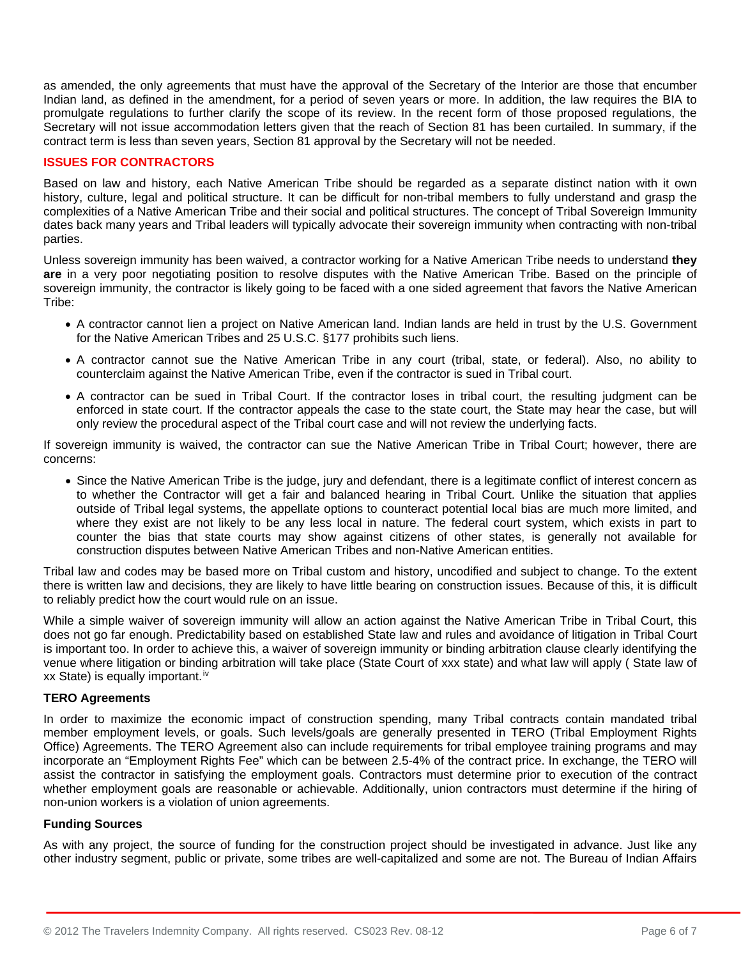as amended, the only agreements that must have the approval of the Secretary of the Interior are those that encumber Indian land, as defined in the amendment, for a period of seven years or more. In addition, the law requires the BIA to promulgate regulations to further clarify the scope of its review. In the recent form of those proposed regulations, the Secretary will not issue accommodation letters given that the reach of Section 81 has been curtailed. In summary, if the contract term is less than seven years, Section 81 approval by the Secretary will not be needed.

## **ISSUES FOR CONTRACTORS**

Based on law and history, each Native American Tribe should be regarded as a separate distinct nation with it own history, culture, legal and political structure. It can be difficult for non-tribal members to fully understand and grasp the complexities of a Native American Tribe and their social and political structures. The concept of Tribal Sovereign Immunity dates back many years and Tribal leaders will typically advocate their sovereign immunity when contracting with non-tribal parties.

Unless sovereign immunity has been waived, a contractor working for a Native American Tribe needs to understand **they are** in a very poor negotiating position to resolve disputes with the Native American Tribe. Based on the principle of sovereign immunity, the contractor is likely going to be faced with a one sided agreement that favors the Native American Tribe:

- A contractor cannot lien a project on Native American land. Indian lands are held in trust by the U.S. Government for the Native American Tribes and 25 U.S.C. §177 prohibits such liens.
- A contractor cannot sue the Native American Tribe in any court (tribal, state, or federal). Also, no ability to counterclaim against the Native American Tribe, even if the contractor is sued in Tribal court.
- A contractor can be sued in Tribal Court. If the contractor loses in tribal court, the resulting judgment can be enforced in state court. If the contractor appeals the case to the state court, the State may hear the case, but will only review the procedural aspect of the Tribal court case and will not review the underlying facts.

If sovereign immunity is waived, the contractor can sue the Native American Tribe in Tribal Court; however, there are concerns:

• Since the Native American Tribe is the judge, jury and defendant, there is a legitimate conflict of interest concern as to whether the Contractor will get a fair and balanced hearing in Tribal Court. Unlike the situation that applies outside of Tribal legal systems, the appellate options to counteract potential local bias are much more limited, and where they exist are not likely to be any less local in nature. The federal court system, which exists in part to counter the bias that state courts may show against citizens of other states, is generally not available for construction disputes between Native American Tribes and non-Native American entities.

Tribal law and codes may be based more on Tribal custom and history, uncodified and subject to change. To the extent there is written law and decisions, they are likely to have little bearing on construction issues. Because of this, it is difficult to reliably predict how the court would rule on an issue.

While a simple waiver of sovereign immunity will allow an action against the Native American Tribe in Tribal Court, this does not go far enough. Predictability based on established State law and rules and avoidance of litigation in Tribal Court is important too. In order to achieve this, a waiver of sovereign immunity or binding arbitration clause clearly identifying the venue where litigation or binding arbitration will take place (State Court of xxx state) and what law will apply ( State law of xx State) is equally important.<sup>[iv](#page-6-3)</sup>

## **TERO Agreements**

In order to maximize the economic impact of construction spending, many Tribal contracts contain mandated tribal member employment levels, or goals. Such levels/goals are generally presented in TERO (Tribal Employment Rights Office) Agreements. The TERO Agreement also can include requirements for tribal employee training programs and may incorporate an "Employment Rights Fee" which can be between 2.5-4% of the contract price. In exchange, the TERO will assist the contractor in satisfying the employment goals. Contractors must determine prior to execution of the contract whether employment goals are reasonable or achievable. Additionally, union contractors must determine if the hiring of non-union workers is a violation of union agreements.

## **Funding Sources**

As with any project, the source of funding for the construction project should be investigated in advance. Just like any other industry segment, public or private, some tribes are well-capitalized and some are not. The Bureau of Indian Affairs